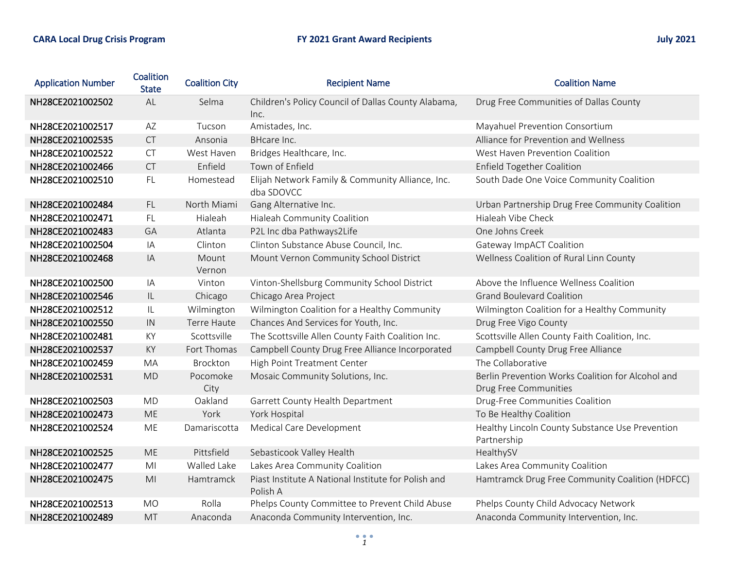| <b>Application Number</b> | Coalition<br><b>State</b> | <b>Coalition City</b> | <b>Recipient Name</b>                                           | <b>Coalition Name</b>                                                      |
|---------------------------|---------------------------|-----------------------|-----------------------------------------------------------------|----------------------------------------------------------------------------|
| NH28CE2021002502          | AL                        | Selma                 | Children's Policy Council of Dallas County Alabama,<br>Inc.     | Drug Free Communities of Dallas County                                     |
| NH28CE2021002517          | AZ                        | Tucson                | Amistades, Inc.                                                 | Mayahuel Prevention Consortium                                             |
| NH28CE2021002535          | CT                        | Ansonia               | BHcare Inc.                                                     | Alliance for Prevention and Wellness                                       |
| NH28CE2021002522          | <b>CT</b>                 | West Haven            | Bridges Healthcare, Inc.                                        | West Haven Prevention Coalition                                            |
| NH28CE2021002466          | <b>CT</b>                 | Enfield               | Town of Enfield                                                 | <b>Enfield Together Coalition</b>                                          |
| NH28CE2021002510          | FL.                       | Homestead             | Elijah Network Family & Community Alliance, Inc.<br>dba SDOVCC  | South Dade One Voice Community Coalition                                   |
| NH28CE2021002484          | FL.                       | North Miami           | Gang Alternative Inc.                                           | Urban Partnership Drug Free Community Coalition                            |
| NH28CE2021002471          | <b>FL</b>                 | Hialeah               | Hialeah Community Coalition                                     | Hialeah Vibe Check                                                         |
| NH28CE2021002483          | GA                        | Atlanta               | P2L Inc dba Pathways2Life                                       | One Johns Creek                                                            |
| NH28CE2021002504          | IA                        | Clinton               | Clinton Substance Abuse Council, Inc.                           | Gateway ImpACT Coalition                                                   |
| NH28CE2021002468          | IA                        | Mount<br>Vernon       | Mount Vernon Community School District                          | Wellness Coalition of Rural Linn County                                    |
| NH28CE2021002500          | IA                        | Vinton                | Vinton-Shellsburg Community School District                     | Above the Influence Wellness Coalition                                     |
| NH28CE2021002546          | $\sf IL$                  | Chicago               | Chicago Area Project                                            | <b>Grand Boulevard Coalition</b>                                           |
| NH28CE2021002512          | IL                        | Wilmington            | Wilmington Coalition for a Healthy Community                    | Wilmington Coalition for a Healthy Community                               |
| NH28CE2021002550          | IN                        | Terre Haute           | Chances And Services for Youth, Inc.                            | Drug Free Vigo County                                                      |
| NH28CE2021002481          | KY                        | Scottsville           | The Scottsville Allen County Faith Coalition Inc.               | Scottsville Allen County Faith Coalition, Inc.                             |
| NH28CE2021002537          | KY                        | Fort Thomas           | Campbell County Drug Free Alliance Incorporated                 | Campbell County Drug Free Alliance                                         |
| NH28CE2021002459          | MA                        | Brockton              | High Point Treatment Center                                     | The Collaborative                                                          |
| NH28CE2021002531          | <b>MD</b>                 | Pocomoke<br>City      | Mosaic Community Solutions, Inc.                                | Berlin Prevention Works Coalition for Alcohol and<br>Drug Free Communities |
| NH28CE2021002503          | <b>MD</b>                 | Oakland               | Garrett County Health Department                                | Drug-Free Communities Coalition                                            |
| NH28CE2021002473          | <b>ME</b>                 | York                  | York Hospital                                                   | To Be Healthy Coalition                                                    |
| NH28CE2021002524          | <b>ME</b>                 | Damariscotta          | Medical Care Development                                        | Healthy Lincoln County Substance Use Prevention<br>Partnership             |
| NH28CE2021002525          | <b>ME</b>                 | Pittsfield            | Sebasticook Valley Health                                       | HealthySV                                                                  |
| NH28CE2021002477          | M <sub>l</sub>            | Walled Lake           | Lakes Area Community Coalition                                  | Lakes Area Community Coalition                                             |
| NH28CE2021002475          | M <sub>l</sub>            | Hamtramck             | Piast Institute A National Institute for Polish and<br>Polish A | Hamtramck Drug Free Community Coalition (HDFCC)                            |
| NH28CE2021002513          | <b>MO</b>                 | Rolla                 | Phelps County Committee to Prevent Child Abuse                  | Phelps County Child Advocacy Network                                       |
| NH28CE2021002489          | <b>MT</b>                 | Anaconda              | Anaconda Community Intervention, Inc.                           | Anaconda Community Intervention, Inc.                                      |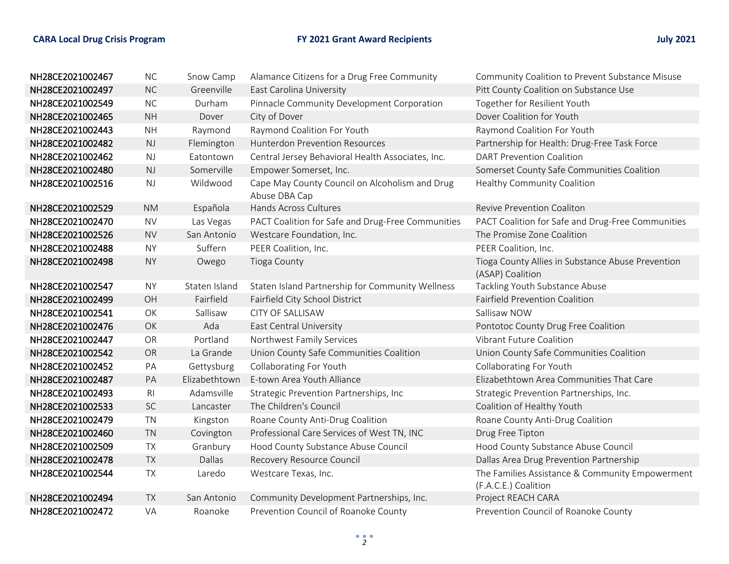| NH28CE2021002467 | NC             | Snow Camp     | Alamance Citizens for a Drug Free Community                     | Community Coalition to Prevent Substance Misuse                         |
|------------------|----------------|---------------|-----------------------------------------------------------------|-------------------------------------------------------------------------|
| NH28CE2021002497 | <b>NC</b>      | Greenville    | East Carolina University                                        | Pitt County Coalition on Substance Use                                  |
| NH28CE2021002549 | NC             | Durham        | Pinnacle Community Development Corporation                      | Together for Resilient Youth                                            |
| NH28CE2021002465 | <b>NH</b>      | Dover         | City of Dover                                                   | Dover Coalition for Youth                                               |
| NH28CE2021002443 | <b>NH</b>      | Raymond       | Raymond Coalition For Youth                                     | Raymond Coalition For Youth                                             |
| NH28CE2021002482 | $\mathsf{NJ}$  | Flemington    | <b>Hunterdon Prevention Resources</b>                           | Partnership for Health: Drug-Free Task Force                            |
| NH28CE2021002462 | NJ             | Eatontown     | Central Jersey Behavioral Health Associates, Inc.               | <b>DART Prevention Coalition</b>                                        |
| NH28CE2021002480 | NJ             | Somerville    | Empower Somerset, Inc.                                          | Somerset County Safe Communities Coalition                              |
| NH28CE2021002516 | NJ             | Wildwood      | Cape May County Council on Alcoholism and Drug<br>Abuse DBA Cap | Healthy Community Coalition                                             |
| NH28CE2021002529 | <b>NM</b>      | Española      | Hands Across Cultures                                           | Revive Prevention Coaliton                                              |
| NH28CE2021002470 | <b>NV</b>      | Las Vegas     | PACT Coalition for Safe and Drug-Free Communities               | PACT Coalition for Safe and Drug-Free Communities                       |
| NH28CE2021002526 | <b>NV</b>      | San Antonio   | Westcare Foundation, Inc.                                       | The Promise Zone Coalition                                              |
| NH28CE2021002488 | <b>NY</b>      | Suffern       | PEER Coalition, Inc.                                            | PEER Coalition, Inc.                                                    |
| NH28CE2021002498 | <b>NY</b>      | Owego         | <b>Tioga County</b>                                             | Tioga County Allies in Substance Abuse Prevention<br>(ASAP) Coalition   |
| NH28CE2021002547 | <b>NY</b>      | Staten Island | Staten Island Partnership for Community Wellness                | Tackling Youth Substance Abuse                                          |
| NH28CE2021002499 | OH             | Fairfield     | Fairfield City School District                                  | <b>Fairfield Prevention Coalition</b>                                   |
|                  |                | Sallisaw      | <b>CITY OF SALLISAW</b>                                         | Sallisaw NOW                                                            |
| NH28CE2021002541 | OK             |               |                                                                 |                                                                         |
| NH28CE2021002476 | OK             | Ada           | East Central University                                         | Pontotoc County Drug Free Coalition                                     |
| NH28CE2021002447 | <b>OR</b>      | Portland      | Northwest Family Services                                       | <b>Vibrant Future Coalition</b>                                         |
| NH28CE2021002542 | OR             | La Grande     | Union County Safe Communities Coalition                         | Union County Safe Communities Coalition                                 |
| NH28CE2021002452 | PA             | Gettysburg    | Collaborating For Youth                                         | Collaborating For Youth                                                 |
| NH28CE2021002487 | PA             | Elizabethtown | E-town Area Youth Alliance                                      | Elizabethtown Area Communities That Care                                |
| NH28CE2021002493 | R <sub>l</sub> | Adamsville    | Strategic Prevention Partnerships, Inc                          | Strategic Prevention Partnerships, Inc.                                 |
| NH28CE2021002533 | SC             | Lancaster     | The Children's Council                                          | Coalition of Healthy Youth                                              |
| NH28CE2021002479 | <b>TN</b>      | Kingston      | Roane County Anti-Drug Coalition                                | Roane County Anti-Drug Coalition                                        |
| NH28CE2021002460 | <b>TN</b>      | Covington     | Professional Care Services of West TN, INC                      | Drug Free Tipton                                                        |
| NH28CE2021002509 | <b>TX</b>      | Granbury      | Hood County Substance Abuse Council                             | Hood County Substance Abuse Council                                     |
| NH28CE2021002478 | <b>TX</b>      | Dallas        | Recovery Resource Council                                       | Dallas Area Drug Prevention Partnership                                 |
| NH28CE2021002544 | <b>TX</b>      | Laredo        | Westcare Texas, Inc.                                            | The Families Assistance & Community Empowerment<br>(F.A.C.E.) Coalition |
| NH28CE2021002494 | <b>TX</b>      | San Antonio   | Community Development Partnerships, Inc.                        | Project REACH CARA                                                      |